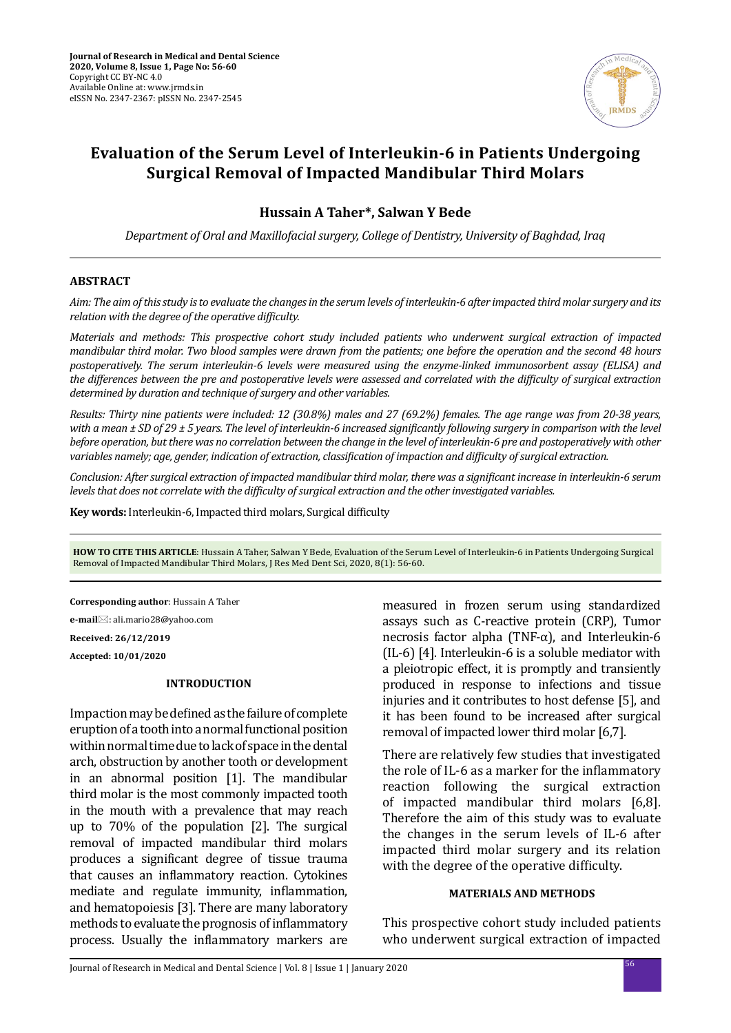

# **Evaluation of the Serum Level of Interleukin-6 in Patients Undergoing Surgical Removal of Impacted Mandibular Third Molars**

### **Hussain A Taher\*, Salwan Y Bede**

*Department of Oral and Maxillofacial surgery, College of Dentistry, University of Baghdad, Iraq*

### **ABSTRACT**

*Aim: The aim of this study is to evaluate the changes in the serum levels of interleukin-6 after impacted third molar surgery and its relation with the degree of the operative difficulty.*

*Materials and methods: This prospective cohort study included patients who underwent surgical extraction of impacted mandibular third molar. Two blood samples were drawn from the patients; one before the operation and the second 48 hours postoperatively. The serum interleukin-6 levels were measured using the enzyme-linked immunosorbent assay (ELISA) and the differences between the pre and postoperative levels were assessed and correlated with the difficulty of surgical extraction determined by duration and technique of surgery and other variables.* 

*Results: Thirty nine patients were included: 12 (30.8%) males and 27 (69.2%) females. The age range was from 20-38 years, with a mean ± SD of 29 ± 5 years. The level of interleukin-6 increased significantly following surgery in comparison with the level before operation, but there was no correlation between the change in the level of interleukin-6 pre and postoperatively with other variables namely; age, gender, indication of extraction, classification of impaction and difficulty of surgical extraction.* 

*Conclusion: After surgical extraction of impacted mandibular third molar, there was a significant increase in interleukin-6 serum levels that does not correlate with the difficulty of surgical extraction and the other investigated variables.*

**Key words:** Interleukin-6, Impacted third molars, Surgical difficulty

**HOW TO CITE THIS ARTICLE**: Hussain A Taher, Salwan Y Bede, Evaluation of the Serum Level of Interleukin-6 in Patients Undergoing Surgical Removal of Impacted Mandibular Third Molars, J Res Med Dent Sci, 2020, 8(1): 56-60.

**Corresponding author**: Hussain A Taher

**e-mail**⊠: ali.mario28@yahoo.com

**Received: 26/12/2019**

**Accepted: 10/01/2020**

# **INTRODUCTION**

Impaction may be defined as the failure of complete eruption of a tooth into a normal functional position within normal time due to lack of space in the dental arch, obstruction by another tooth or development in an abnormal position [1]. The mandibular third molar is the most commonly impacted tooth in the mouth with a prevalence that may reach up to 70% of the population [2]. The surgical removal of impacted mandibular third molars produces a significant degree of tissue trauma that causes an inflammatory reaction. Cytokines mediate and regulate immunity, inflammation, and hematopoiesis [3]. There are many laboratory methods to evaluate the prognosis of inflammatory process. Usually the inflammatory markers are measured in frozen serum using standardized assays such as C-reactive protein (CRP), Tumor necrosis factor alpha (TNF-α), and Interleukin-6 (IL-6) [4]. Interleukin-6 is a soluble mediator with a pleiotropic effect, it is promptly and transiently produced in response to infections and tissue injuries and it contributes to host defense [5], and it has been found to be increased after surgical removal of impacted lower third molar [6,7].

There are relatively few studies that investigated the role of IL-6 as a marker for the inflammatory reaction following the surgical extraction of impacted mandibular third molars [6,8]. Therefore the aim of this study was to evaluate the changes in the serum levels of IL-6 after impacted third molar surgery and its relation with the degree of the operative difficulty.

### **MATERIALS AND METHODS**

This prospective cohort study included patients who underwent surgical extraction of impacted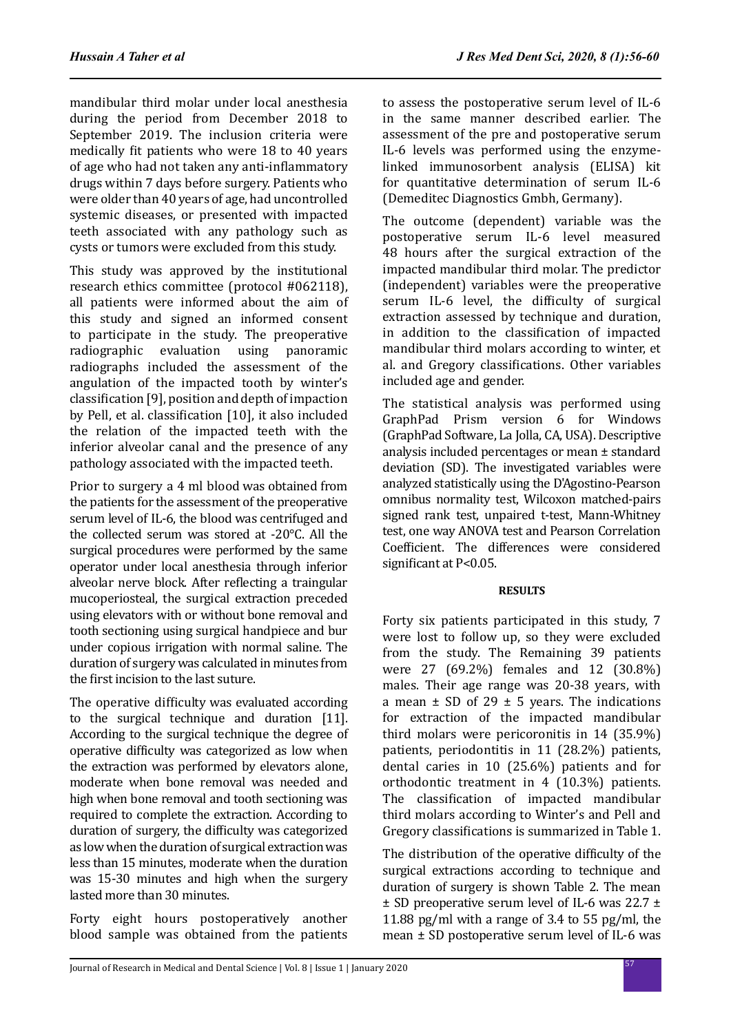mandibular third molar under local anesthesia during the period from December 2018 to September 2019. The inclusion criteria were medically fit patients who were 18 to 40 years of age who had not taken any anti-inflammatory drugs within 7 days before surgery. Patients who were older than 40 years of age, had uncontrolled systemic diseases, or presented with impacted teeth associated with any pathology such as cysts or tumors were excluded from this study.

This study was approved by the institutional research ethics committee (protocol #062118), all patients were informed about the aim of this study and signed an informed consent to participate in the study. The preoperative radiographic evaluation using panoramic radiographs included the assessment of the angulation of the impacted tooth by winter's classification [9], position and depth of impaction by Pell, et al. classification [10], it also included the relation of the impacted teeth with the inferior alveolar canal and the presence of any pathology associated with the impacted teeth.

Prior to surgery a 4 ml blood was obtained from the patients for the assessment of the preoperative serum level of IL-6, the blood was centrifuged and the collected serum was stored at -20°C. All the surgical procedures were performed by the same operator under local anesthesia through inferior alveolar nerve block. After reflecting a traingular mucoperiosteal, the surgical extraction preceded using elevators with or without bone removal and tooth sectioning using surgical handpiece and bur under copious irrigation with normal saline. The duration of surgery was calculated in minutes from the first incision to the last suture.

The operative difficulty was evaluated according to the surgical technique and duration [11]. According to the surgical technique the degree of operative difficulty was categorized as low when the extraction was performed by elevators alone, moderate when bone removal was needed and high when bone removal and tooth sectioning was required to complete the extraction. According to duration of surgery, the difficulty was categorized as low when the duration of surgical extraction was less than 15 minutes, moderate when the duration was 15-30 minutes and high when the surgery lasted more than 30 minutes.

Forty eight hours postoperatively another blood sample was obtained from the patients to assess the postoperative serum level of IL-6 in the same manner described earlier. The assessment of the pre and postoperative serum IL-6 levels was performed using the enzymelinked immunosorbent analysis (ELISA) kit for quantitative determination of serum IL-6 (Demeditec Diagnostics Gmbh, Germany).

The outcome (dependent) variable was the postoperative serum IL-6 level measured 48 hours after the surgical extraction of the impacted mandibular third molar. The predictor (independent) variables were the preoperative serum IL-6 level, the difficulty of surgical extraction assessed by technique and duration. in addition to the classification of impacted mandibular third molars according to winter, et al. and Gregory classifications. Other variables included age and gender.

The statistical analysis was performed using GraphPad Prism version 6 for Windows (GraphPad Software, La Jolla, CA, USA). Descriptive analysis included percentages or mean ± standard deviation (SD). The investigated variables were analyzed statistically using the D'Agostino-Pearson omnibus normality test, Wilcoxon matched-pairs signed rank test, unpaired t-test, Mann-Whitney test, one way ANOVA test and Pearson Correlation Coefficient. The differences were considered significant at P<0.05.

## **RESULTS**

Forty six patients participated in this study, 7 were lost to follow up, so they were excluded from the study. The Remaining 39 patients were 27 (69.2%) females and 12 (30.8%) males. Their age range was 20-38 years, with a mean  $\pm$  SD of 29  $\pm$  5 years. The indications for extraction of the impacted mandibular third molars were pericoronitis in 14 (35.9%) patients, periodontitis in 11 (28.2%) patients, dental caries in 10 (25.6%) patients and for orthodontic treatment in 4 (10.3%) patients. The classification of impacted mandibular third molars according to Winter's and Pell and Gregory classifications is summarized in Table 1.

The distribution of the operative difficulty of the surgical extractions according to technique and duration of surgery is shown Table 2. The mean ± SD preoperative serum level of IL-6 was 22.7 ± 11.88 pg/ml with a range of 3.4 to 55 pg/ml, the mean ± SD postoperative serum level of IL-6 was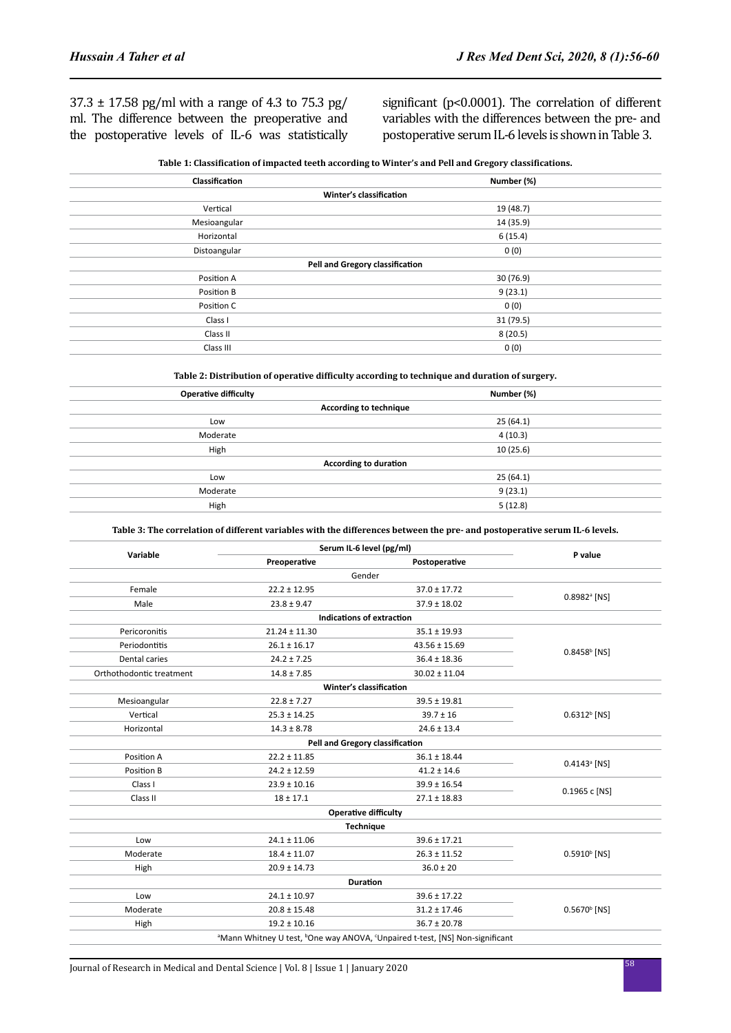$37.3 \pm 17.58$  pg/ml with a range of 4.3 to 75.3 pg/ ml. The difference between the preoperative and the postoperative levels of IL-6 was statistically significant (p<0.0001). The correlation of different variables with the differences between the pre- and postoperative serum IL-6 levels is shown in Table 3.

| Table 1: Classification of impacted teeth according to Winter's and Pell and Gregory classifications. |  |  |
|-------------------------------------------------------------------------------------------------------|--|--|
|                                                                                                       |  |  |

| Classification                  | Number (%) |  |  |  |
|---------------------------------|------------|--|--|--|
| Winter's classification         |            |  |  |  |
| Vertical                        | 19 (48.7)  |  |  |  |
| Mesioangular                    | 14 (35.9)  |  |  |  |
| Horizontal                      | 6(15.4)    |  |  |  |
| Distoangular                    | 0(0)       |  |  |  |
| Pell and Gregory classification |            |  |  |  |
| Position A                      | 30 (76.9)  |  |  |  |
| Position B                      | 9(23.1)    |  |  |  |
| Position C                      | 0(0)       |  |  |  |
| Class I                         | 31 (79.5)  |  |  |  |
| Class II                        | 8(20.5)    |  |  |  |
| Class III                       | 0(0)       |  |  |  |

**Table 2: Distribution of operative difficulty according to technique and duration of surgery.**

| <b>Operative difficulty</b> | Number (%)                   |  |
|-----------------------------|------------------------------|--|
|                             | According to technique       |  |
| Low                         | 25(64.1)                     |  |
| Moderate                    | 4(10.3)                      |  |
| High                        | 10(25.6)                     |  |
|                             | <b>According to duration</b> |  |
| Low                         | 25(64.1)                     |  |
| Moderate                    | 9(23.1)                      |  |
| High                        | 5(12.8)                      |  |
|                             |                              |  |

#### **Table 3: The correlation of different variables with the differences between the pre- and postoperative serum IL-6 levels.**

|                          | Serum IL-6 level (pg/ml)      |                                                                                                                  |                            |  |
|--------------------------|-------------------------------|------------------------------------------------------------------------------------------------------------------|----------------------------|--|
| Variable                 | Preoperative<br>Postoperative |                                                                                                                  | P value                    |  |
|                          |                               | Gender                                                                                                           |                            |  |
| Female                   | $22.2 \pm 12.95$              | $37.0 \pm 17.72$                                                                                                 | $0.8982$ <sup>a</sup> [NS] |  |
| Male                     | $23.8 \pm 9.47$               | $37.9 \pm 18.02$                                                                                                 |                            |  |
|                          |                               | Indications of extraction                                                                                        |                            |  |
| Pericoronitis            | $21.24 \pm 11.30$             | $35.1 \pm 19.93$                                                                                                 |                            |  |
| Periodontitis            | $26.1 \pm 16.17$              | $43.56 \pm 15.69$                                                                                                | $0.8458b$ [NS]             |  |
| <b>Dental caries</b>     | $24.2 \pm 7.25$               | $36.4 \pm 18.36$                                                                                                 |                            |  |
| Orthothodontic treatment | $14.8 \pm 7.85$               | $30.02 \pm 11.04$                                                                                                |                            |  |
|                          |                               | Winter's classification                                                                                          |                            |  |
| Mesioangular             | $22.8 \pm 7.27$               | $39.5 \pm 19.81$                                                                                                 | $0.6312b$ [NS]             |  |
| Vertical                 | $25.3 \pm 14.25$              | $39.7 \pm 16$                                                                                                    |                            |  |
| Horizontal               | $14.3 \pm 8.78$               | $24.6 \pm 13.4$                                                                                                  |                            |  |
|                          |                               | Pell and Gregory classification                                                                                  |                            |  |
| Position A               | $22.2 \pm 11.85$              | $36.1 \pm 18.44$                                                                                                 | $0.4143$ <sup>a</sup> [NS] |  |
| Position B               | $24.2 \pm 12.59$              | $41.2 \pm 14.6$                                                                                                  |                            |  |
| Class I                  | $23.9 \pm 10.16$              | $39.9 \pm 16.54$                                                                                                 | 0.1965 c [NS]              |  |
| Class II                 | $18 \pm 17.1$                 | $27.1 \pm 18.83$                                                                                                 |                            |  |
|                          |                               | <b>Operative difficulty</b>                                                                                      |                            |  |
|                          |                               | <b>Technique</b>                                                                                                 |                            |  |
| Low                      | $24.1 \pm 11.06$              | $39.6 \pm 17.21$                                                                                                 | $0.5910^{\rm b}$ [NS]      |  |
| Moderate                 | $18.4 \pm 11.07$              | $26.3 \pm 11.52$                                                                                                 |                            |  |
| High                     | $20.9 \pm 14.73$              | $36.0 \pm 20$                                                                                                    |                            |  |
|                          |                               | <b>Duration</b>                                                                                                  |                            |  |
| Low                      | $24.1 \pm 10.97$              | $39.6 \pm 17.22$                                                                                                 | $0.5670b$ [NS]             |  |
| Moderate                 | $20.8 \pm 15.48$              | $31.2 \pm 17.46$                                                                                                 |                            |  |
| High                     | $19.2 \pm 10.16$              | $36.7 \pm 20.78$                                                                                                 |                            |  |
|                          |                               | <sup>a</sup> Mann Whitney U test, <sup>b</sup> One way ANOVA, <sup>c</sup> Unpaired t-test, [NS] Non-significant |                            |  |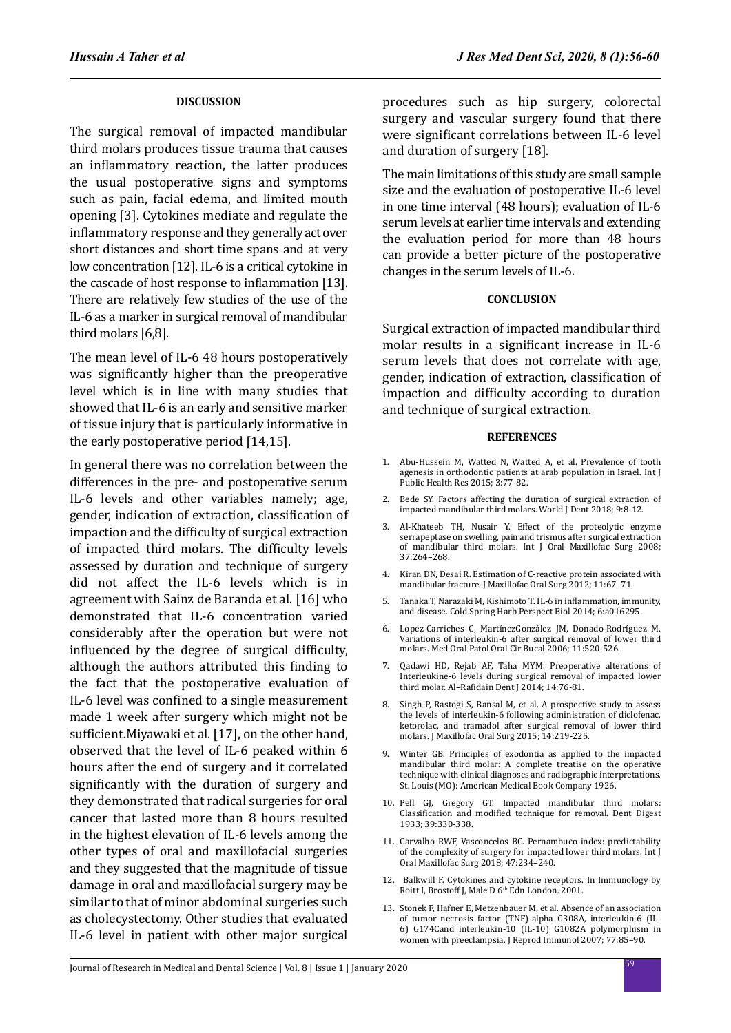### **DISCUSSION**

The surgical removal of impacted mandibular third molars produces tissue trauma that causes an inflammatory reaction, the latter produces the usual postoperative signs and symptoms such as pain, facial edema, and limited mouth opening [3]. Cytokines mediate and regulate the inflammatory response and they generally act over short distances and short time spans and at very low concentration [12]. IL-6 is a critical cytokine in the cascade of host response to inflammation [13]. There are relatively few studies of the use of the IL-6 as a marker in surgical removal of mandibular third molars [6,8].

The mean level of IL-6 48 hours postoperatively was significantly higher than the preoperative level which is in line with many studies that showed that IL-6 is an early and sensitive marker of tissue injury that is particularly informative in the early postoperative period [14,15].

In general there was no correlation between the differences in the pre- and postoperative serum IL-6 levels and other variables namely; age, gender, indication of extraction, classification of impaction and the difficulty of surgical extraction of impacted third molars. The difficulty levels assessed by duration and technique of surgery did not affect the IL-6 levels which is in agreement with Sainz de Baranda et al. [16] who demonstrated that IL-6 concentration varied considerably after the operation but were not influenced by the degree of surgical difficulty, although the authors attributed this finding to the fact that the postoperative evaluation of IL-6 level was confined to a single measurement made 1 week after surgery which might not be sufficient.Miyawaki et al. [17], on the other hand, observed that the level of IL-6 peaked within 6 hours after the end of surgery and it correlated significantly with the duration of surgery and they demonstrated that radical surgeries for oral cancer that lasted more than 8 hours resulted in the highest elevation of IL-6 levels among the other types of oral and maxillofacial surgeries and they suggested that the magnitude of tissue damage in oral and maxillofacial surgery may be similar to that of minor abdominal surgeries such as cholecystectomy. Other studies that evaluated IL-6 level in patient with other major surgical procedures such as hip surgery, colorectal surgery and vascular surgery found that there were significant correlations between IL-6 level and duration of surgery [18].

The main limitations of this study are small sample size and the evaluation of postoperative IL-6 level in one time interval (48 hours); evaluation of IL-6 serum levels at earlier time intervals and extending the evaluation period for more than 48 hours can provide a better picture of the postoperative changes in the serum levels of IL-6.

#### **CONCLUSION**

Surgical extraction of impacted mandibular third molar results in a significant increase in IL-6 serum levels that does not correlate with age, gender, indication of extraction, classification of impaction and difficulty according to duration and technique of surgical extraction.

#### **REFERENCES**

- 1. Abu-Hussein M, Watted N, Watted A, et al. Prevalence of tooth agenesis in orthodontic patients at arab population in Israel. Int J Public Health Res 2015; 3:77-82.
- 2. Bede SY. Factors affecting the duration of surgical extraction of impacted mandibular third molars. World J Dent 2018; 9:8-12.
- 3. Al-Khateeb TH, Nusair Y. Effect of the proteolytic enzyme serrapeptase on swelling, pain and trismus after surgical extraction of mandibular third molars. Int J Oral Maxillofac Surg 2008; 37:264–268.
- 4. Kiran DN, Desai R. Estimation of C-reactive protein associated with mandibular fracture. J Maxillofac Oral Surg 2012; 11:67–71.
- 5. Tanaka T, Narazaki M, Kishimoto T. IL-6 in inflammation, immunity, and disease. Cold Spring Harb Perspect Biol 2014; 6:a016295.
- 6. Lopez-Carriches C, MartínezGonzález JM, Donado-Rodríguez M. Variations of interleukin-6 after surgical removal of lower third molars. Med Oral Patol Oral Cir Bucal 2006; 11:520-526.
- 7. Qadawi HD, Rejab AF, Taha MYM. Preoperative alterations of Interleukine-6 levels during surgical removal of impacted lower third molar. Al–Rafidain Dent J 2014; 14:76-81.
- 8. Singh P, Rastogi S, Bansal M, et al. A prospective study to assess the levels of interleukin-6 following administration of diclofenac, ketorolac, and tramadol after surgical removal of lower third molars. J Maxillofac Oral Surg 2015; 14:219-225.
- 9. Winter GB. Principles of exodontia as applied to the impacted mandibular third molar: A complete treatise on the operative technique with clinical diagnoses and radiographic interpretations. St. Louis (MO): American Medical Book Company 1926.
- 10. Pell GJ, Gregory GT. Impacted mandibular third molars: Classification and modified technique for removal. Dent Digest 1933; 39:330-338.
- 11. Carvalho RWF, Vasconcelos BC. Pernambuco index: predictability of the complexity of surgery for impacted lower third molars. Int J Oral Maxillofac Surg 2018; 47:234–240.
- 12. Balkwill F. Cytokines and cytokine receptors. In Immunology by Roitt I, Brostoff J, Male D 6<sup>th</sup> Edn London. 2001.
- 13. Stonek F, Hafner E, Metzenbauer M, et al. Absence of an association of tumor necrosis factor (TNF)-alpha G308A, interleukin-6 (IL-6) G174Cand interleukin-10 (IL-10) G1082A polymorphism in women with preeclampsia. J Reprod Immunol 2007; 77:85–90.